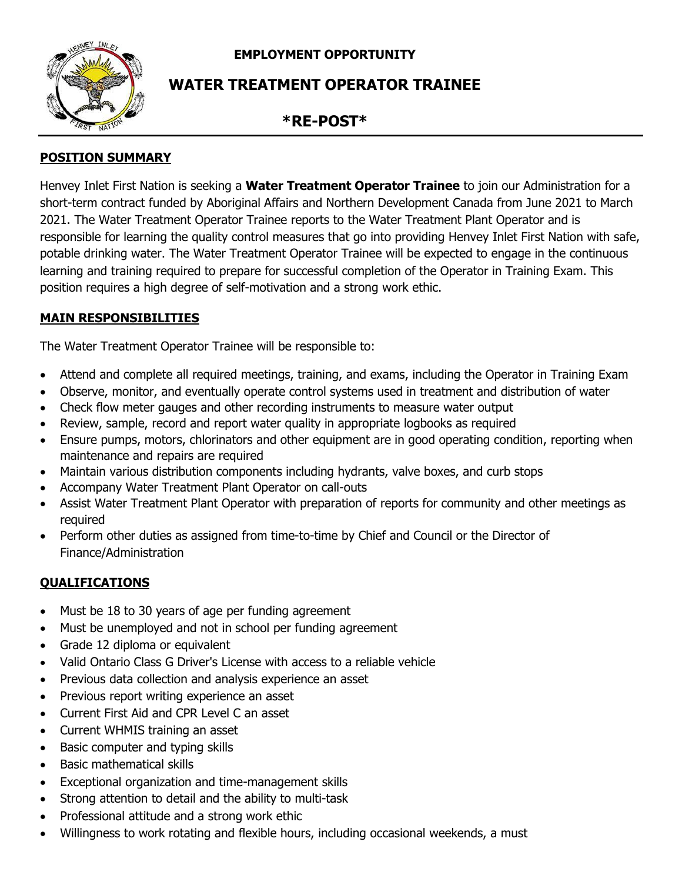**EMPLOYMENT OPPORTUNITY**



# **WATER TREATMENT OPERATOR TRAINEE**

## **\*RE-POST\***

## **POSITION SUMMARY**

Henvey Inlet First Nation is seeking a **Water Treatment Operator Trainee** to join our Administration for a short-term contract funded by Aboriginal Affairs and Northern Development Canada from June 2021 to March 2021. The Water Treatment Operator Trainee reports to the Water Treatment Plant Operator and is responsible for learning the quality control measures that go into providing Henvey Inlet First Nation with safe, potable drinking water. The Water Treatment Operator Trainee will be expected to engage in the continuous learning and training required to prepare for successful completion of the Operator in Training Exam. This position requires a high degree of self-motivation and a strong work ethic.

## **MAIN RESPONSIBILITIES**

The Water Treatment Operator Trainee will be responsible to:

- Attend and complete all required meetings, training, and exams, including the Operator in Training Exam
- Observe, monitor, and eventually operate control systems used in treatment and distribution of water
- Check flow meter gauges and other recording instruments to measure water output
- Review, sample, record and report water quality in appropriate logbooks as required
- Ensure pumps, motors, chlorinators and other equipment are in good operating condition, reporting when maintenance and repairs are required
- Maintain various distribution components including hydrants, valve boxes, and curb stops
- Accompany Water Treatment Plant Operator on call-outs
- Assist Water Treatment Plant Operator with preparation of reports for community and other meetings as required
- Perform other duties as assigned from time-to-time by Chief and Council or the Director of Finance/Administration

## **QUALIFICATIONS**

- Must be 18 to 30 years of age per funding agreement
- Must be unemployed and not in school per funding agreement
- Grade 12 diploma or equivalent
- Valid Ontario Class G Driver's License with access to a reliable vehicle
- Previous data collection and analysis experience an asset
- Previous report writing experience an asset
- Current First Aid and CPR Level C an asset
- Current WHMIS training an asset
- Basic computer and typing skills
- Basic mathematical skills
- Exceptional organization and time-management skills
- Strong attention to detail and the ability to multi-task
- Professional attitude and a strong work ethic
- Willingness to work rotating and flexible hours, including occasional weekends, a must